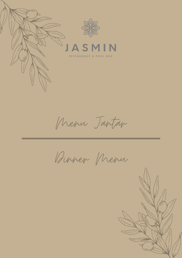

Menu Jantar

Dinner Menu

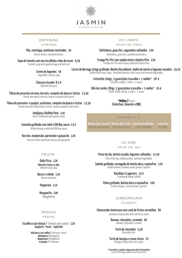

### ENTRADAS

**STARTERS** 

Pão, manteiga, azeitonas marinadas 3€

Bread, butter, marinated olives

Sopa de tomate com ovo escalfado e óleo de ervas 6,5€ Tomato soup with poached egg and herbs oil

> Cremedelegumes 5€ Vegetable creamy soup

> Chouriço Assado 8,5 € Roasted Chourizo

Tábua de presunto serrano, burrata, compota da época e tostas 13,5€ Parma ham board, borrata, season compote and toasts

Tábua de presunto e queijos, azeitonas, compota da época e tostas 12,5€ Parma ham and cheese board, olives, season compote and toasts

> Amêijoas à Bulhão Pato 12€ Clams traditional portuguese style

Camarão grelhado com Aioli e Old Bay sauce 13 € Grilled shrimp in aioli and Old Bay sauce

Burrata, manjericão, parmesão e gaspacho 12€

Burrata, basil, parmesan cheese and gaspacho

PIZZAS

Daily Pizza 12€ Diferente todos os dias diferent every day

Bacon e cebola 12€ Bacon and onion

Pepperoni 11€

Marguerita 10€ **Margherita** 

# DO CAMPO

FROM THE FARM

Saltimboca, gnocchis, cogumelos salteados 14€ Saltimboca, gnocchis, sautéed mushrooms

Frango Piri-Piri com salada mista e batata frita 12€ Chicken Piri-Piri with mixed salad and french fries

Carret de Borrego 200gr grelhado, Batata Hasselback, molho de menta e legumes assados 19,5€ Grilled lamb chop 200gr, Hasslback potato, mint sauce and roasted vegetables

> Entrecôte 200gr, 2 guarnições à escolha + 1 molho $*$  18  $\epsilon$ Entecôte 200gr, 2 sides + 1 sauce

Bife do Lombo 180gr, 2 guarnições à escolha + 1 molho $*$  16  $\epsilon$ Sirloin Steak 180 gr, 2 sides + 1 sauce

> \***Molhos|Sauce** Chimichuri, Bearnês e BBO

# EXTRAS 4 €

Batata doce assada Roasted sweet potato Batata doce frita Fried sweet potato

Legumes Grelhados Grilled vegetables

Salada Mista Mix salad

### DO MAR

### FROM THE SEA

Peixe do dia, batata assada, legumes salteados 14,5€ Fish of the day, baked potato, sautéed vegetables

Salmão grelhado, esmagada de batata doce, espinafres  $12€$ Grilled salmon, mashed sweet potato, spinach

> Bacalhau à Lagareiro 19 € Traditional baked Codfish

Polvo grelhado, Batata doce e espinafres 16€ Grilled octopus, sweet potato, spinach

SOBREMESAS\*

DESSERTS

Cheesecake Americano com couli de frutos vermelhos  $8 \epsilon$ 

American cheesecake wirh red fruits coulis

Banana, chocolate, caramelo 6€ Banana, chocolate, caramel

> Tarte de chocolate 5,5€ Chocolate tart

Torta de laranja e creme cítrico 7€ Orange roll pie and citric cream

MASSAS

### PASTAS

Escolha a sua massa / Choose your pasta 12€ Spaghetti - Penne - Tagliatelle

> Adicone o seu molho / Add your sauce: **Bolonhesa /** Bolognese Napolitana/ Neapolitan 4 queijos/ 4 cheeses

> > \*Consulteasopçõesveganjuntodosfuncionários Consult the vegan options with the waiter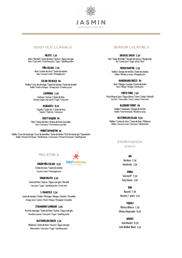

# GOOD OLD CLASSICS SEASON COCKTAILS

**MOJITO 7,5€**

Rum / Hortelã / Sumo de lima / Açúcar / Água com gás Rum / Fresh mint / Fresh lime juice / Sugar / Sparkling water

> **PIÑA COLADA 7,5€** Rum / Creme de côco / Sumo de ananás Rum / Coconut cream / Pineapple juice

**SEX ON THEBEACH 8€** Vodka/Licordepêssego/Sumodelaranja/Sumodearando Vodka / Peach schnapps / Orange juice / Cranberry juice

> **CAIPIRINHA 7,5€** Cachaça/ Açúcar/Sumodelima Cachaça(sugar canespirit)/Sugar/Limejuice

**MARGARITA 8,5€** Tequila/TripleSec/Sumodelima Tequila/TripleSec/Limejuice

**FRUITYDAQUIRI 8€** Rum / Sumo de lima / Aroma de fruta à escolha Rum / Lime juice / Fruit aroma as you like

**PORNSTAR MARTINI 9€** Vodka/Licorde maracujá/Licordebaunilha/Sumodelimão/Puréde maracujá/Espumante Vodka / Passion fruit liquor / Vanilla liquor / Lemon juice / Passion fruit purée / Sparkling wine

# MOCKTAILS

**VIRGIN PIÑA COLADA 5,5€** Cremedecôco/Sumodeananás Ollie's Kids Club ALE D'OLIVEIRAS

Coconut cream / Pinneapple juice

### **VIRGIN MOJITO 5,5€**

Sumo de lima / Açúcar / Água com gás / Hortelã Lime juice / Sugar / Sparkling water / Fresh mint

### **S.FRANCISCO 5,5€**

Sumodelaranja/Limão/Pêssego/ Manga/ Ananás/Groselha Orange Juice / Lemon / Peach / Mango / Pineapple / Grenadine

### **STRAWBERRYLEMONADE 5,5€**

Puré de morango / Sumo de lima / Açúcar / Água com gás Strawberry purée / Lime juice / Sugar / Sparkling water

### **WATERMELON COOLER 5,5€**

Melancia / Sumo de lima / Açucar / Água com gás Watermelon/Limejuice/Sugar/Sparkling water

**GIN BASILSMASH 7,5€** Gin/Sumodelimão/ Xaropedeaçúcar/ Manjericão Gin/Lemonjuice/Sugarsyrup/Basil

**FRENCH MARTINI 7,5€** Vodka / Xarope de mirtilo / Sumo de ananás Vodka/Blueberrysyrup/Pineapplejuice

**MANGORANGEBREEZE 8€** Rum / Manga/Laranja/Sumodelimão Rum / Mango/ Orange/Lemonjuice

**PORTO TONIC 7,5€** Porto Branco Seco / Água tónica / Lima / Limão / Hortelã Dry Port / Tonic water / Lime / Lemon / Fresh mint

> **BLUEBERRYSPRINT 8€** Vodka/Limonada/ Xaropede mirtilo Vodka/Freshlemonade/Blueberrysyrup

**WATERMELON COLADA 8,5€** Malibu/Cremedecôco/Sumodelima/ Melancia Malibu / Coconut cream / Lime juice / Watermelon

# **ESPIRITUOSOS**

### SPIRITS

**GIN**

Gordons 7,5€ Hendricks 13€

**VODKA** Smirnorff 7,5€ GreyGoose 14€

**RUM** Bacardi 7,5€ Havana 7 years 11€

**TEQUILA** OlmecaBlanco 7,5€ Olmeca Reposado 8,5€

**WHISKY** JackDaniels 8,5€ JonhWalkerBlack 11€